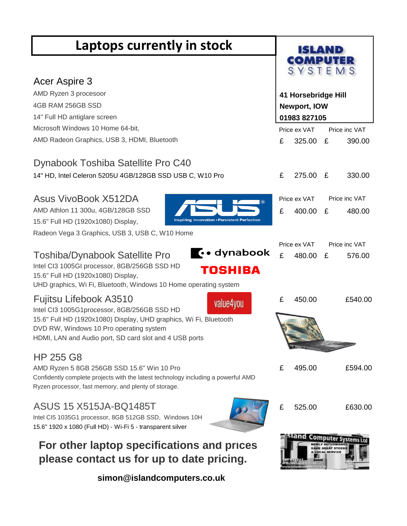| Laptops currently in stock                                                                                                      | ISLAND              |                        |                     |                         |
|---------------------------------------------------------------------------------------------------------------------------------|---------------------|------------------------|---------------------|-------------------------|
|                                                                                                                                 | COMPUTER<br>SYSTEMS |                        |                     |                         |
| Acer Aspire 3<br>AMD Ryzen 3 procesoor                                                                                          |                     | 41 Horsebridge Hill    |                     |                         |
| 4GB RAM 256GB SSD                                                                                                               | Newport, IOW        |                        |                     |                         |
| 14" Full HD antiglare screen                                                                                                    | 01983 827105        |                        |                     |                         |
| Microsoft Windows 10 Home 64-bit,                                                                                               |                     | Price ex VAT           |                     | Price inc VAT           |
| AMD Radeon Graphics, USB 3, HDMI, Bluetooth                                                                                     | £                   | 325.00 £               |                     | 390.00                  |
| Dynabook Toshiba Satellite Pro C40                                                                                              |                     |                        |                     |                         |
| 14" HD, Intel Celeron 5205U 4GB/128GB SSD USB C, W10 Pro                                                                        | £                   | 275.00                 | E                   | 330.00                  |
| Asus VivoBook X512DA<br>⊛                                                                                                       |                     | Price ex VAT           |                     | Price inc VAT           |
| AMD Athlon 11 300u, 4GB/128GB SSD                                                                                               | £                   | 400.00                 | £                   | 480.00                  |
| Inspiring Innovation . Persistent Perfection<br>15.6" Full HD (1920x1080) Display,                                              |                     |                        |                     |                         |
| Radeon Vega 3 Graphics, USB 3, USB C, W10 Home                                                                                  |                     |                        |                     |                         |
| $\left\{\cdot\right\}$ dynabook<br><b>Toshiba/Dynabook Satellite Pro</b>                                                        | £                   | Price ex VAT<br>480.00 | £                   | Price inc VAT<br>576.00 |
| Intel CI3 1005GI processor, 8GB/256GB SSD HD<br>TOSHIBA                                                                         |                     |                        |                     |                         |
| 15.6" Full HD (1920x1080) Display,                                                                                              |                     |                        |                     |                         |
| UHD graphics, Wi Fi, Bluetooth, Windows 10 Home operating system                                                                |                     |                        |                     |                         |
| Fujitsu Lifebook A3510<br>value4you<br>Intel CI3 1005G1processor, 8GB/256GB SSD HD                                              | £                   | 450.00                 |                     | £540.00                 |
| 15.6" Full HD (1920x1080) Display, UHD graphics, Wi Fi, Bluetooth                                                               |                     |                        |                     |                         |
| DVD RW, Windows 10 Pro operating system<br>HDMI, LAN and Audio port, SD card slot and 4 USB ports                               |                     |                        |                     |                         |
|                                                                                                                                 |                     |                        |                     |                         |
| HP 255 G8                                                                                                                       |                     |                        |                     |                         |
| AMD Ryzen 5 8GB 256GB SSD 15.6" Win 10 Pro<br>Confidently complete projects with the latest technology including a powerful AMD | £                   | 495.00                 |                     | £594.00                 |
| Ryzen processor, fast memory, and plenty of storage.                                                                            |                     |                        |                     |                         |
| ASUS 15 X515JA-BQ1485T                                                                                                          | £                   | 525.00                 |                     | £630.00                 |
| Intel CI5 1035G1 processor, 8GB 512GB SSD, Windows 10H                                                                          |                     |                        |                     |                         |
| 15.6" 1920 x 1080 (Full HD) - Wi-Fi 5 - transparent silver                                                                      |                     | com                    |                     |                         |
| For other laptop specifications and prices                                                                                      |                     |                        | <b>OCAL SERVICI</b> |                         |
| please contact us for up to date pricing.                                                                                       |                     |                        |                     |                         |

 **simon@islandcomputers.co.uk**